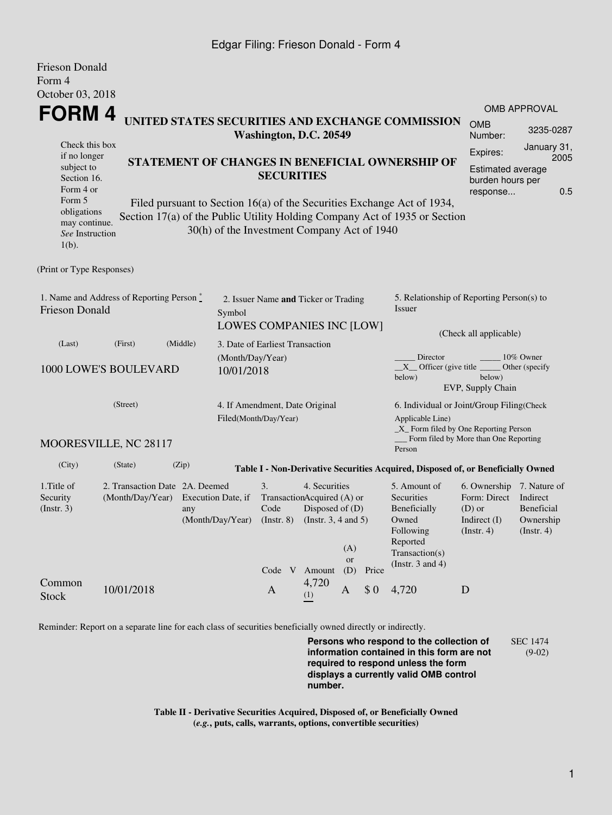#### Edgar Filing: Frieson Donald - Form 4

| Frieson Donald                                                                |                                  |                    |                                             |                                                                                             |  |                                      |           |          |                                                                                  |                                       |                         |  |
|-------------------------------------------------------------------------------|----------------------------------|--------------------|---------------------------------------------|---------------------------------------------------------------------------------------------|--|--------------------------------------|-----------|----------|----------------------------------------------------------------------------------|---------------------------------------|-------------------------|--|
| Form 4                                                                        |                                  |                    |                                             |                                                                                             |  |                                      |           |          |                                                                                  |                                       |                         |  |
| October 03, 2018                                                              |                                  |                    |                                             |                                                                                             |  |                                      |           |          |                                                                                  |                                       |                         |  |
| FORM 4                                                                        |                                  |                    |                                             |                                                                                             |  |                                      |           |          |                                                                                  | <b>OMB APPROVAL</b>                   |                         |  |
| UNITED STATES SECURITIES AND EXCHANGE COMMISSION<br>Washington, D.C. 20549    |                                  |                    |                                             |                                                                                             |  |                                      |           |          |                                                                                  | <b>OMB</b><br>Number:                 | 3235-0287               |  |
| Check this box                                                                |                                  |                    |                                             |                                                                                             |  |                                      |           | Expires: | January 31,<br>2005                                                              |                                       |                         |  |
| if no longer<br>STATEMENT OF CHANGES IN BENEFICIAL OWNERSHIP OF<br>subject to |                                  |                    |                                             |                                                                                             |  |                                      |           |          | <b>Estimated average</b>                                                         |                                       |                         |  |
|                                                                               | <b>SECURITIES</b><br>Section 16. |                    |                                             |                                                                                             |  |                                      |           |          |                                                                                  | burden hours per                      |                         |  |
| Form 4 or                                                                     |                                  |                    |                                             |                                                                                             |  |                                      |           |          |                                                                                  |                                       | 0.5<br>response         |  |
| Form 5<br>obligations                                                         |                                  |                    |                                             |                                                                                             |  |                                      |           |          | Filed pursuant to Section 16(a) of the Securities Exchange Act of 1934,          |                                       |                         |  |
| may continue.<br>See Instruction<br>$1(b)$ .                                  |                                  |                    | 30(h) of the Investment Company Act of 1940 |                                                                                             |  |                                      |           |          | Section 17(a) of the Public Utility Holding Company Act of 1935 or Section       |                                       |                         |  |
| (Print or Type Responses)                                                     |                                  |                    |                                             |                                                                                             |  |                                      |           |          |                                                                                  |                                       |                         |  |
|                                                                               |                                  |                    |                                             |                                                                                             |  |                                      |           |          |                                                                                  |                                       |                         |  |
| 1. Name and Address of Reporting Person *<br><b>Frieson Donald</b><br>Symbol  |                                  |                    |                                             |                                                                                             |  | 2. Issuer Name and Ticker or Trading |           |          | 5. Relationship of Reporting Person(s) to<br>Issuer                              |                                       |                         |  |
|                                                                               |                                  |                    |                                             |                                                                                             |  |                                      |           |          |                                                                                  |                                       |                         |  |
|                                                                               |                                  |                    |                                             |                                                                                             |  | LOWES COMPANIES INC [LOW]            |           |          | (Check all applicable)                                                           |                                       |                         |  |
| (Middle)<br>(Last)<br>(First)<br>3. Date of Earliest Transaction              |                                  |                    |                                             |                                                                                             |  |                                      |           |          |                                                                                  |                                       |                         |  |
|                                                                               |                                  |                    | (Month/Day/Year)                            |                                                                                             |  |                                      |           |          | Director                                                                         |                                       | 10% Owner               |  |
|                                                                               | 1000 LOWE'S BOULEVARD            |                    | 10/01/2018                                  |                                                                                             |  |                                      |           |          | $X$ Officer (give title $\overline{\phantom{a}}$<br>below)                       | below)                                | Other (specify)         |  |
|                                                                               |                                  |                    |                                             |                                                                                             |  |                                      |           |          |                                                                                  | EVP, Supply Chain                     |                         |  |
| (Street)<br>4. If Amendment, Date Original<br>Filed(Month/Day/Year)           |                                  |                    |                                             |                                                                                             |  |                                      |           |          | 6. Individual or Joint/Group Filing(Check                                        |                                       |                         |  |
|                                                                               |                                  |                    |                                             |                                                                                             |  |                                      |           |          | Applicable Line)                                                                 |                                       |                         |  |
|                                                                               |                                  |                    |                                             |                                                                                             |  |                                      |           |          | $\_X$ Form filed by One Reporting Person                                         | Form filed by More than One Reporting |                         |  |
|                                                                               | MOORESVILLE, NC 28117            |                    |                                             |                                                                                             |  |                                      |           |          | Person                                                                           |                                       |                         |  |
| (City)                                                                        | (State)                          | (Zip)              |                                             |                                                                                             |  |                                      |           |          | Table I - Non-Derivative Securities Acquired, Disposed of, or Beneficially Owned |                                       |                         |  |
| 1. Title of                                                                   | 2. Transaction Date 2A. Deemed   |                    |                                             | 3.                                                                                          |  | 4. Securities                        |           |          | 5. Amount of                                                                     | 6. Ownership 7. Nature of             |                         |  |
| Security                                                                      | (Month/Day/Year)                 | Execution Date, if | TransactionAcquired (A) or                  |                                                                                             |  |                                      |           |          | Form: Direct                                                                     | Indirect                              |                         |  |
| (Insert. 3)                                                                   |                                  | any                |                                             | Disposed of (D)<br>Code<br>(Month/Day/Year)<br>(Instr. $3, 4$ and $5$ )<br>$($ Instr. 8 $)$ |  |                                      |           |          | Beneficially<br>Owned                                                            | $(D)$ or<br>Indirect $(I)$            | Beneficial<br>Ownership |  |
|                                                                               |                                  |                    |                                             |                                                                                             |  |                                      |           |          | Following                                                                        | (Insert. 4)                           | $($ Instr. 4 $)$        |  |
|                                                                               |                                  |                    |                                             |                                                                                             |  |                                      | (A)       |          | Reported                                                                         |                                       |                         |  |
|                                                                               |                                  |                    |                                             |                                                                                             |  |                                      | <b>or</b> |          | Transaction(s)                                                                   |                                       |                         |  |
|                                                                               |                                  |                    |                                             |                                                                                             |  | Code V Amount                        | (D)       | Price    | (Instr. $3$ and $4$ )                                                            |                                       |                         |  |
| Common<br><b>Stock</b>                                                        | 10/01/2018                       |                    |                                             | $\mathbf{A}$                                                                                |  | 4,720<br>(1)                         | A         | \$0      | 4,720                                                                            | D                                     |                         |  |

Reminder: Report on a separate line for each class of securities beneficially owned directly or indirectly.

**Persons who respond to the collection of information contained in this form are not required to respond unless the form displays a currently valid OMB control number.** SEC 1474 (9-02)

**Table II - Derivative Securities Acquired, Disposed of, or Beneficially Owned (***e.g.***, puts, calls, warrants, options, convertible securities)**